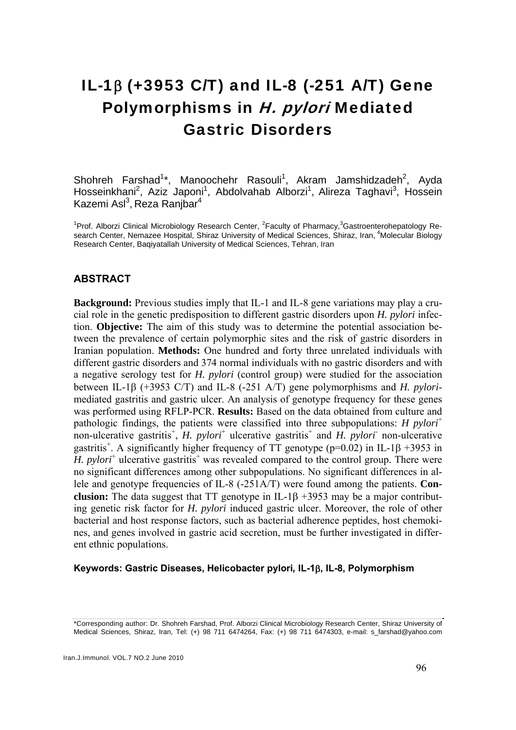# IL-1β (+3953 C/T) and IL-8 (-251 A/T) Gene Polymorphisms in H. pylori Mediated Gastric Disorders

Shohreh Farshad<sup>1\*</sup>, Manoochehr Rasouli<sup>1</sup>, Akram Jamshidzadeh<sup>2</sup>, Ayda Hosseinkhani<sup>2</sup>, Aziz Japoni<sup>1</sup>, Abdolvahab Alborzi<sup>1</sup>, Alireza Taghavi<sup>3</sup>, Hossein Kazemi Asl<sup>3</sup>, Reza Ranjbar<sup>4</sup>

<sup>1</sup>Prof. Alborzi Clinical Microbiology Research Center, <sup>2</sup>Faculty of Pharmacy, <sup>3</sup>Gastroenterohepatology Research Center, Nemazee Hospital, Shiraz University of Medical Sciences, Shiraz, Iran, <sup>4</sup>Molecular Biology Research Center, Baqiyatallah University of Medical Sciences, Tehran, Iran

# **ABSTRACT**

**Background:** Previous studies imply that IL-1 and IL-8 gene variations may play a crucial role in the genetic predisposition to different gastric disorders upon *H. pylori* infection. **Objective:** The aim of this study was to determine the potential association between the prevalence of certain polymorphic sites and the risk of gastric disorders in Iranian population. **Methods:** One hundred and forty three unrelated individuals with different gastric disorders and 374 normal individuals with no gastric disorders and with a negative serology test for *H. pylori* (control group) were studied for the association between IL-1β (+3953 C/T) and IL-8 (-251 A/T) gene polymorphisms and *H. pylori*mediated gastritis and gastric ulcer. An analysis of genotype frequency for these genes was performed using RFLP-PCR. **Results:** Based on the data obtained from culture and pathologic findings, the patients were classified into three subpopulations: *H pylori*<sup>+</sup> non-ulcerative gastritis<sup>+</sup>, *H. pylori*<sup>+</sup> ulcerative gastritis<sup>+</sup> and *H. pylori*- non-ulcerative gastritis<sup>+</sup>. A significantly higher frequency of TT genotype ( $p=0.02$ ) in IL-1 $\beta$  +3953 in H. pylori<sup>+</sup> ulcerative gastritis<sup>+</sup> was revealed compared to the control group. There were no significant differences among other subpopulations. No significant differences in allele and genotype frequencies of IL-8 (-251A/T) were found among the patients. **Conclusion:** The data suggest that TT genotype in IL-1β +3953 may be a major contributing genetic risk factor for *H. pylori* induced gastric ulcer. Moreover, the role of other bacterial and host response factors, such as bacterial adherence peptides, host chemokines, and genes involved in gastric acid secretion, must be further investigated in different ethnic populations.

#### **Keywords: Gastric Diseases, Helicobacter pylori***,* **IL-1**β**, IL-8, Polymorphism**

<sup>\*</sup>Corresponding author: Dr. Shohreh Farshad, Prof. Alborzi Clinical Microbiology Research Center, Shiraz University of Medical Sciences, Shiraz, Iran, Tel: (+) 98 711 6474264, Fax: (+) 98 711 6474303, e-mail: s\_farshad@yahoo.com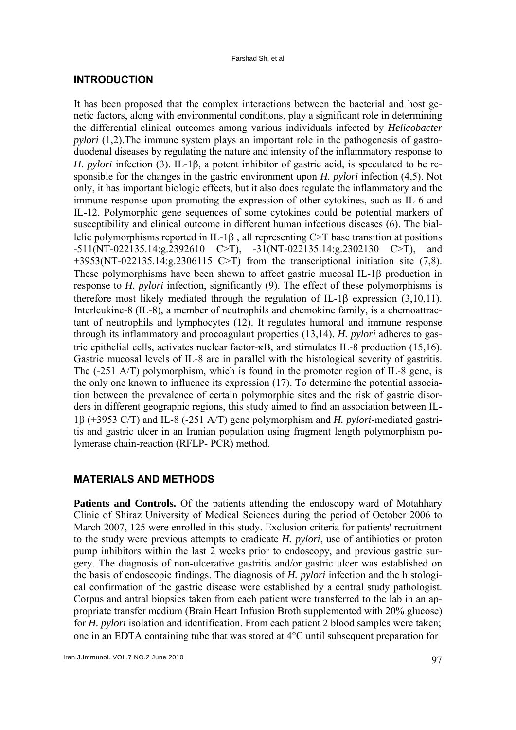### **INTRODUCTION**

It has been proposed that the complex interactions between the bacterial and host genetic factors, along with environmental conditions, play a significant role in determining the differential clinical outcomes among various individuals infected by *Helicobacter pylori* (1,2). The immune system plays an important role in the pathogenesis of gastroduodenal diseases by regulating the nature and intensity of the inflammatory response to *H. pylori* infection (3). IL-1β, a potent inhibitor of gastric acid, is speculated to be responsible for the changes in the gastric environment upon *H. pylori* infection (4,5). Not only, it has important biologic effects, but it also does regulate the inflammatory and the immune response upon promoting the expression of other cytokines, such as IL-6 and IL-12. Polymorphic gene sequences of some cytokines could be potential markers of susceptibility and clinical outcome in different human infectious diseases (6). The biallelic polymorphisms reported in IL-1 $\beta$ , all representing C $\geq$ T base transition at positions -511(NT-022135.14:g.2392610 C>T), -31(NT-022135.14:g.2302130 C>T), and  $+3953(NT-022135.14;g.2306115$  C $\geq$ T) from the transcriptional initiation site (7,8). These polymorphisms have been shown to affect gastric mucosal IL-1β production in response to *H. pylori* infection, significantly (9). The effect of these polymorphisms is therefore most likely mediated through the regulation of IL-1β expression (3,10,11). Interleukine-8 (IL-8), a member of neutrophils and chemokine family, is a chemoattractant of neutrophils and lymphocytes (12). It regulates humoral and immune response through its inflammatory and procoagulant properties (13,14). *H. pylori* adheres to gastric epithelial cells, activates nuclear factor-κB, and stimulates IL-8 production (15,16). Gastric mucosal levels of IL-8 are in parallel with the histological severity of gastritis. The (-251 A/T) polymorphism, which is found in the promoter region of IL-8 gene, is the only one known to influence its expression (17). To determine the potential association between the prevalence of certain polymorphic sites and the risk of gastric disorders in different geographic regions, this study aimed to find an association between IL-1β (+3953 C/T) and IL-8 (-251 A/T) gene polymorphism and *H. pylori*-mediated gastritis and gastric ulcer in an Iranian population using fragment length polymorphism polymerase chain-reaction (RFLP- PCR) method.

### **MATERIALS AND METHODS**

**Patients and Controls.** Of the patients attending the endoscopy ward of Motahhary Clinic of Shiraz University of Medical Sciences during the period of October 2006 to March 2007, 125 were enrolled in this study. Exclusion criteria for patients' recruitment to the study were previous attempts to eradicate *H. pylori*, use of antibiotics or proton pump inhibitors within the last 2 weeks prior to endoscopy, and previous gastric surgery. The diagnosis of non-ulcerative gastritis and/or gastric ulcer was established on the basis of endoscopic findings. The diagnosis of *H. pylori* infection and the histological confirmation of the gastric disease were established by a central study pathologist. Corpus and antral biopsies taken from each patient were transferred to the lab in an appropriate transfer medium (Brain Heart Infusion Broth supplemented with 20% glucose) for *H. pylori* isolation and identification. From each patient 2 blood samples were taken; one in an EDTA containing tube that was stored at  $4^{\circ}$ C until subsequent preparation for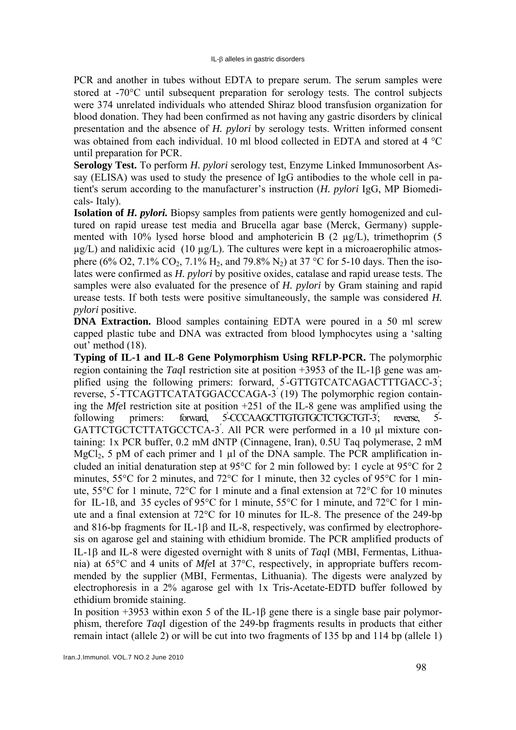PCR and another in tubes without EDTA to prepare serum. The serum samples were stored at -70°C until subsequent preparation for serology tests. The control subjects were 374 unrelated individuals who attended Shiraz blood transfusion organization for blood donation. They had been confirmed as not having any gastric disorders by clinical presentation and the absence of *H. pylori* by serology tests. Written informed consent was obtained from each individual. 10 ml blood collected in EDTA and stored at 4 °C until preparation for PCR.

**Serology Test.** To perform *H. pylori* serology test, Enzyme Linked Immunosorbent Assay (ELISA) was used to study the presence of IgG antibodies to the whole cell in patient's serum according to the manufacturer's instruction (*H. pylori* IgG, MP Biomedicals- Italy).

**Isolation of** *H. pylori.* Biopsy samples from patients were gently homogenized and cultured on rapid urease test media and Brucella agar base (Merck, Germany) supplemented with 10% lysed horse blood and amphotericin B (2 µg/L), trimethoprim (5  $\mu$ g/L) and nalidixic acid (10  $\mu$ g/L). The cultures were kept in a microaerophilic atmosphere (6% O2, 7.1% CO<sub>2</sub>, 7.1% H<sub>2</sub>, and 79.8% N<sub>2</sub>) at 37 °C for 5-10 days. Then the isolates were confirmed as *H. pylori* by positive oxides, catalase and rapid urease tests. The samples were also evaluated for the presence of *H. pylori* by Gram staining and rapid urease tests. If both tests were positive simultaneously, the sample was considered *H. pylori* positive.

**DNA Extraction.** Blood samples containing EDTA were poured in a 50 ml screw capped plastic tube and DNA was extracted from blood lymphocytes using a 'salting out' method (18).

**Typing of IL-1 and IL-8 Gene Polymorphism Using RFLP-PCR.** The polymorphic region containing the *Taq*І restriction site at position +3953 of the IL-1β gene was amplified using the following primers: forward, 5'-GTTGTCATCAGACTTTGACC-3'; reverse, 5′ -TTCAGTTCATATGGACCCAGA-3′ (19) The polymorphic region containing the *Mfe*І restriction site at position +251 of the IL-8 gene was amplified using the following primers: forward, -CCCAAGCTTGTGTGCTCTGCTGT-3/ reverse  $5-$ GATTCTGCTCTTATGCCTCA-3. All PCR were performed in a 10 µl mixture containing: 1x PCR buffer, 0.2 mM dNTP (Cinnagene, Iran), 0.5U Taq polymerase, 2 mM MgCl<sub>2</sub>, 5 pM of each primer and 1  $\mu$ l of the DNA sample. The PCR amplification included an initial denaturation step at 95°C for 2 min followed by: 1 cycle at 95°C for 2 minutes, 55°C for 2 minutes, and 72°C for 1 minute, then 32 cycles of 95°C for 1 minute, 55°C for 1 minute, 72°C for 1 minute and a final extension at 72°C for 10 minutes for IL-1ß, and 35 cycles of 95°C for 1 minute, 55°C for 1 minute, and 72°C for 1 minute and a final extension at 72°C for 10 minutes for IL-8. The presence of the 249-bp and 816-bp fragments for IL-1β and IL-8, respectively, was confirmed by electrophoresis on agarose gel and staining with ethidium bromide. The PCR amplified products of IL-1β and IL-8 were digested overnight with 8 units of *Taq*І (MBI, Fermentas, Lithuania) at 65°C and 4 units of *Mfe*І at 37°C, respectively, in appropriate buffers recommended by the supplier (MBI, Fermentas, Lithuania). The digests were analyzed by electrophoresis in a 2% agarose gel with 1x Tris-Acetate-EDTD buffer followed by ethidium bromide staining.

In position +3953 within exon 5 of the IL-1β gene there is a single base pair polymorphism, therefore *Taq*І digestion of the 249-bp fragments results in products that either remain intact (allele 2) or will be cut into two fragments of 135 bp and 114 bp (allele 1)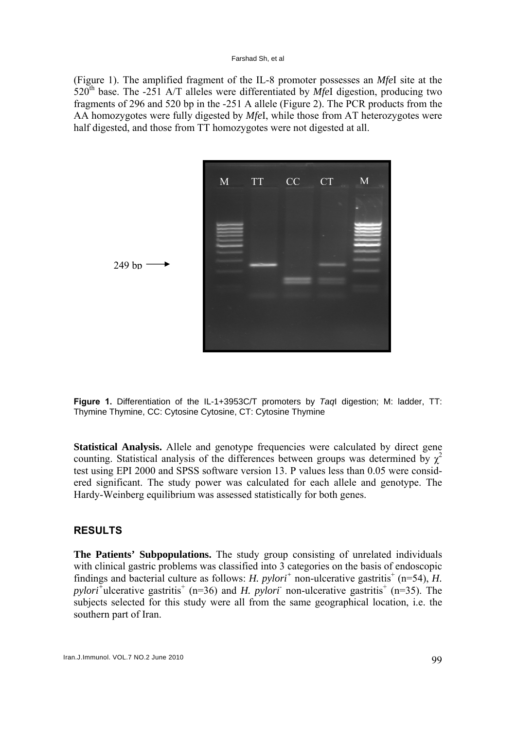#### Farshad Sh, et al

(Figure 1). The amplified fragment of the IL-8 promoter possesses an *Mfe*I site at the  $520<sup>th</sup>$  base. The -251 A/T alleles were differentiated by *MfeI* digestion, producing two fragments of 296 and 520 bp in the -251 A allele (Figure 2). The PCR products from the AA homozygotes were fully digested by *Mfe*I, while those from AT heterozygotes were half digested, and those from TT homozygotes were not digested at all.



**Figure 1.** Differentiation of the IL-1+3953C/T promoters by *Taq*I digestion; M: ladder, TT: Thymine Thymine, CC: Cytosine Cytosine, CT: Cytosine Thymine

**Statistical Analysis.** Allele and genotype frequencies were calculated by direct gene counting. Statistical analysis of the differences between groups was determined by  $\chi^2$ test using EPI 2000 and SPSS software version 13. Р values less than 0.05 were considered significant. The study power was calculated for each allele and genotype. The Hardy-Weinberg equilibrium was assessed statistically for both genes.

# **RESULTS**

**The Patients' Subpopulations.** The study group consisting of unrelated individuals with clinical gastric problems was classified into 3 categories on the basis of endoscopic findings and bacterial culture as follows: *H. pylori<sup>+</sup>* non-ulcerative gastritis<sup>+</sup> (n=54), *H.*  $pylori$ <sup>+</sup>ulcerative gastritis<sup>+</sup> (n=36) and *H. pylori*<sup>-</sup> non-ulcerative gastritis<sup>+</sup> (n=35). The subjects selected for this study were all from the same geographical location, i.e. the southern part of Iran.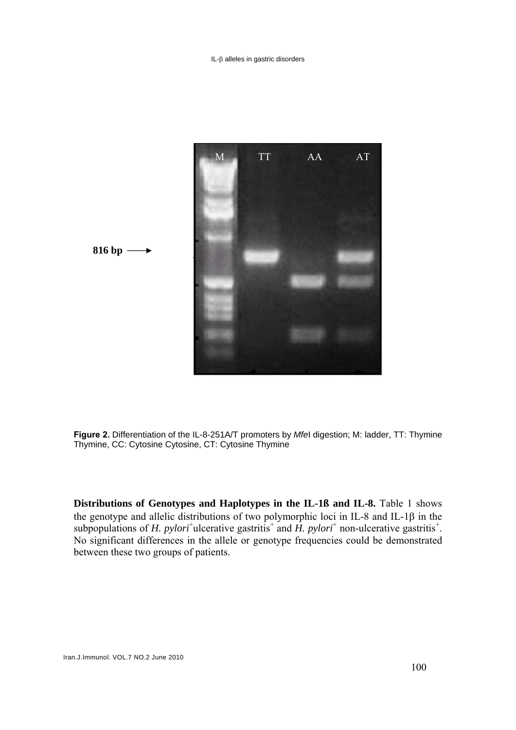IL-β alleles in gastric disorders



**Figure 2.** Differentiation of the IL-8-251A/T promoters by *Mfe*I digestion; M: ladder, TT: Thymine Thymine, CC: Cytosine Cytosine, CT: Cytosine Thymine

**Distributions of Genotypes and Haplotypes in the IL-1ß and IL-8.** Table 1 shows the genotype and allelic distributions of two polymorphic loci in IL-8 and IL-1β in the subpopulations of *H. pylori*<sup>+</sup>ulcerative gastritis<sup>+</sup> and *H. pylori*<sup>+</sup> non-ulcerative gastritis<sup>+</sup>. No significant differences in the allele or genotype frequencies could be demonstrated between these two groups of patients.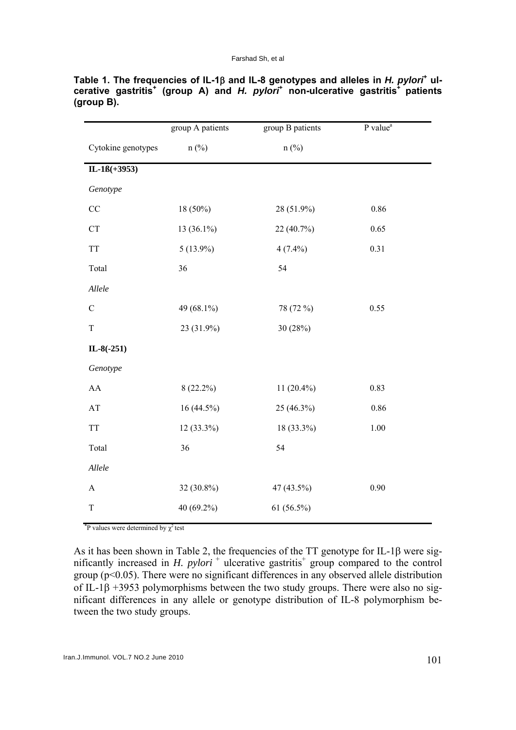|                                                    | group A patients | group B patients | $P$ value <sup>a</sup> |
|----------------------------------------------------|------------------|------------------|------------------------|
| Cytokine genotypes                                 | $n$ (%)          | $n$ (%)          |                        |
| $IL-1B(+3953)$                                     |                  |                  |                        |
| Genotype                                           |                  |                  |                        |
| CC                                                 | 18 (50%)         | 28 (51.9%)       | 0.86                   |
| ${\cal C}{\cal T}$                                 | 13 (36.1%)       | 22 (40.7%)       | 0.65                   |
| TT                                                 | $5(13.9\%)$      | $4(7.4\%)$       | 0.31                   |
| Total                                              | 36               | 54               |                        |
| Allele                                             |                  |                  |                        |
| $\mathsf C$                                        | 49 (68.1%)       | 78 (72 %)        | 0.55                   |
| $\rm T$                                            | 23 (31.9%)       | 30 (28%)         |                        |
| $IL-8(-251)$                                       |                  |                  |                        |
| Genotype                                           |                  |                  |                        |
| ${\rm AA}$                                         | $8(22.2\%)$      | 11 $(20.4\%)$    | 0.83                   |
| $\mathbf{A}\mathbf{T}$                             | $16(44.5\%)$     | 25 (46.3%)       | 0.86                   |
| $\ensuremath{\mathcal{T}}\ensuremath{\mathcal{T}}$ | 12 (33.3%)       | 18 (33.3%)       | $1.00\,$               |
| Total                                              | 36               | 54               |                        |
| Allele                                             |                  |                  |                        |
| $\boldsymbol{\rm{A}}$                              | 32 (30.8%)       | 47 (43.5%)       | 0.90                   |
| $\mathbf T$                                        | 40 (69.2%)       | $61(56.5\%)$     |                        |

**Table 1. The frequencies of IL-1β and IL-8 genotypes and alleles in** *H. pylori***<sup>+</sup> ulcerative gastritis<sup>+</sup> (group A) and** *H. pylori***<sup>+</sup> non-ulcerative gastritis+ patients (group B).** 

<sup>\*</sup>P values were determined by  $\chi^2$  test

As it has been shown in Table 2, the frequencies of the TT genotype for IL-1β were significantly increased in *H. pylori*<sup>+</sup> ulcerative gastritis<sup>+</sup> group compared to the control group (p<0.05). There were no significant differences in any observed allele distribution of IL-1β +3953 polymorphisms between the two study groups. There were also no significant differences in any allele or genotype distribution of IL-8 polymorphism between the two study groups.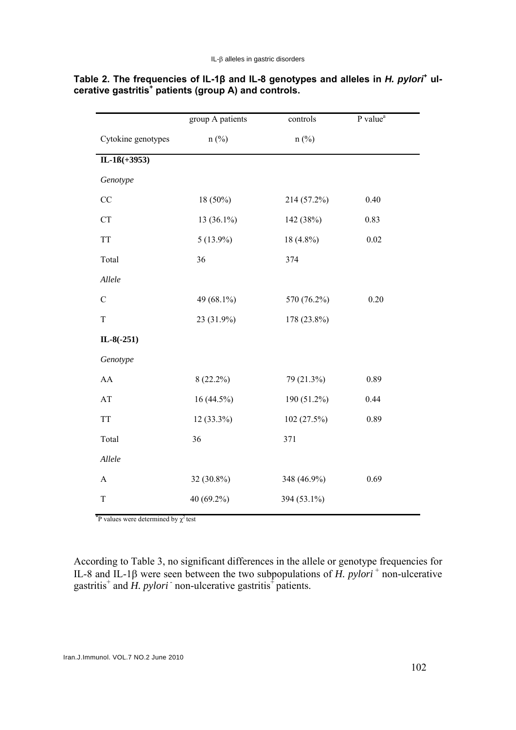|                        | group A patients | controls    | P value <sup>a</sup> |
|------------------------|------------------|-------------|----------------------|
| Cytokine genotypes     | $n$ (%)          | $n$ (%)     |                      |
| $IL-1B(+3953)$         |                  |             |                      |
| Genotype               |                  |             |                      |
| $\rm CC$               | 18 (50%)         | 214 (57.2%) | 0.40                 |
| ${\cal C}{\cal T}$     | $13(36.1\%)$     | 142 (38%)   | 0.83                 |
| <b>TT</b>              | $5(13.9\%)$      | $18(4.8\%)$ | 0.02                 |
| Total                  | 36               | 374         |                      |
| Allele                 |                  |             |                      |
| $\mathsf C$            | 49 (68.1%)       | 570 (76.2%) | 0.20                 |
| $\mathbf T$            | 23 (31.9%)       | 178 (23.8%) |                      |
| $IL-8(-251)$           |                  |             |                      |
| Genotype               |                  |             |                      |
| ${\rm AA}$             | $8(22.2\%)$      | 79 (21.3%)  | 0.89                 |
| $\mathbf{A}\mathbf{T}$ | 16 (44.5%)       | 190 (51.2%) | 0.44                 |
| <b>TT</b>              | 12 (33.3%)       | 102 (27.5%) | 0.89                 |
| Total                  | 36               | 371         |                      |
| Allele                 |                  |             |                      |
| $\boldsymbol{\rm{A}}$  | 32 (30.8%)       | 348 (46.9%) | 0.69                 |
| $\mathbf T$            | 40 (69.2%)       | 394 (53.1%) |                      |

# Table 2. The frequencies of IL-1β and IL-8 genotypes and alleles in *H. pylori*<sup>+</sup> ul**cerative gastritis<sup>+</sup> patients (group A) and controls.**

<sup>\*</sup>P values were determined by  $\chi^2$  test

According to Table 3, no significant differences in the allele or genotype frequencies for IL-8 and IL-1β were seen between the two subpopulations of *H. pylori*<sup>+</sup> non-ulcerative gastritis<sup>+</sup> and *H. pylori* non-ulcerative gastritis<sup>+</sup> patients.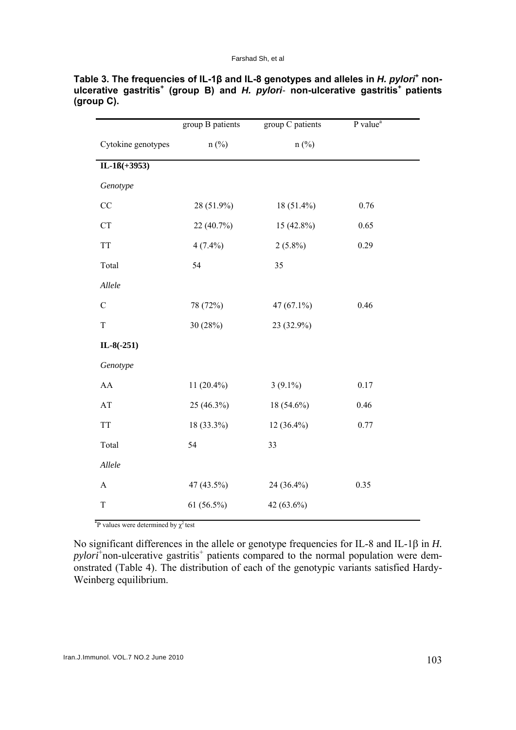|                                                    | group B patients | group C patients | P value <sup>a</sup> |
|----------------------------------------------------|------------------|------------------|----------------------|
| Cytokine genotypes                                 | $n$ (%)          | $n$ (%)          |                      |
| $IL-1B(+3953)$                                     |                  |                  |                      |
| Genotype                                           |                  |                  |                      |
| CC                                                 | 28 (51.9%)       | 18 (51.4%)       | 0.76                 |
| ${\cal C}{\cal T}$                                 | 22 (40.7%)       | 15 (42.8%)       | 0.65                 |
| <b>TT</b>                                          | $4(7.4\%)$       | $2(5.8\%)$       | 0.29                 |
| Total                                              | 54               | 35               |                      |
| Allele                                             |                  |                  |                      |
| $\mathcal{C}$                                      | 78 (72%)         | 47 (67.1%)       | 0.46                 |
| $\rm T$                                            | 30 (28%)         | 23 (32.9%)       |                      |
| $IL-8(-251)$                                       |                  |                  |                      |
| Genotype                                           |                  |                  |                      |
| AA                                                 | $11(20.4\%)$     | $3(9.1\%)$       | 0.17                 |
| $\mathbf{A}\mathbf{T}$                             | 25 (46.3%)       | 18 (54.6%)       | 0.46                 |
| $\ensuremath{\mathcal{T}}\ensuremath{\mathcal{T}}$ | 18 (33.3%)       | 12 (36.4%)       | 0.77                 |
| Total                                              | 54               | 33               |                      |
| Allele                                             |                  |                  |                      |
| $\mathbf{A}$                                       | 47 (43.5%)       | 24 (36.4%)       | 0.35                 |
| $\mathbf T$                                        | $61(56.5\%)$     | 42 (63.6%)       |                      |

Table 3. The frequencies of IL-1β and IL-8 genotypes and alleles in *H. pylori*<sup>+</sup> non**ulcerative gastritis<sup>+</sup> (group B) and** *H. pylori-* **non-ulcerative gastritis+ patients (group C).** 

<sup>\*</sup>P values were determined by  $\chi^2$  test

No significant differences in the allele or genotype frequencies for IL-8 and IL-1β in *H.*  pylori<sup>+</sup> non-ulcerative gastritis<sup>+</sup> patients compared to the normal population were demonstrated (Table 4). The distribution of each of the genotypic variants satisfied Hardy-Weinberg equilibrium.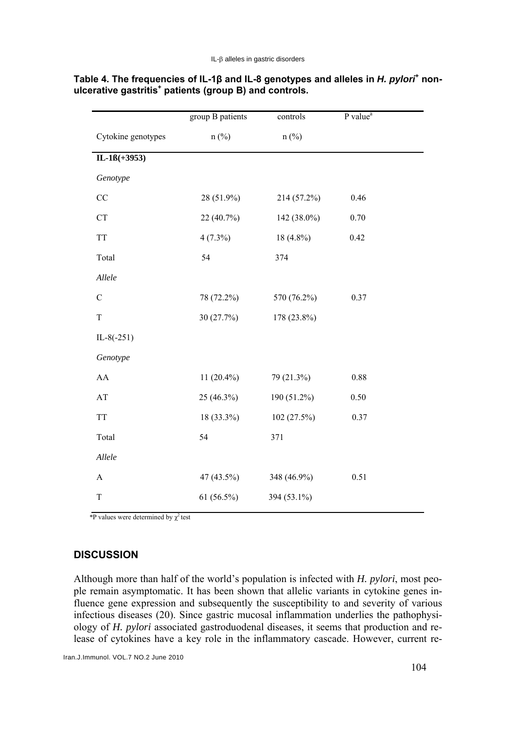|                    | group B patients | controls    | P value <sup>a</sup> |
|--------------------|------------------|-------------|----------------------|
| Cytokine genotypes | $n$ (%)          | $n$ (%)     |                      |
| $IL-1B(+3953)$     |                  |             |                      |
| Genotype           |                  |             |                      |
| $\rm CC$           | 28 (51.9%)       | 214 (57.2%) | 0.46                 |
| <b>CT</b>          | 22 (40.7%)       | 142 (38.0%) | 0.70                 |
| <b>TT</b>          | $4(7.3\%)$       | 18 (4.8%)   | 0.42                 |
| Total              | 54               | 374         |                      |
| Allele             |                  |             |                      |
| $\mathcal{C}$      | 78 (72.2%)       | 570 (76.2%) | 0.37                 |
| $\mathbf T$        | 30 (27.7%)       | 178 (23.8%) |                      |
| $IL-8(-251)$       |                  |             |                      |
| Genotype           |                  |             |                      |
| ${\rm AA}$         | 11 $(20.4\%)$    | 79 (21.3%)  | 0.88                 |
| AT                 | 25 (46.3%)       | 190 (51.2%) | 0.50                 |
| <b>TT</b>          | 18 (33.3%)       | 102 (27.5%) | 0.37                 |
| Total              | 54               | 371         |                      |
| Allele             |                  |             |                      |
| $\mathbf A$        | 47 (43.5%)       | 348 (46.9%) | 0.51                 |
| T                  | 61 (56.5%)       | 394 (53.1%) |                      |

### Table 4. The frequencies of IL-1β and IL-8 genotypes and alleles in *H. pylori*<sup>+</sup> non**ulcerative gastritis<sup>+</sup> patients (group B) and controls.**

 $*P$  values were determined by  $\chi^2$  test

# **DISCUSSION**

Although more than half of the world's population is infected with *H. pylori*, most people remain asymptomatic. It has been shown that allelic variants in cytokine genes influence gene expression and subsequently the susceptibility to and severity of various infectious diseases (20). Since gastric mucosal inflammation underlies the pathophysiology of *H. pylori* associated gastroduodenal diseases, it seems that production and release of cytokines have a key role in the inflammatory cascade. However, current re-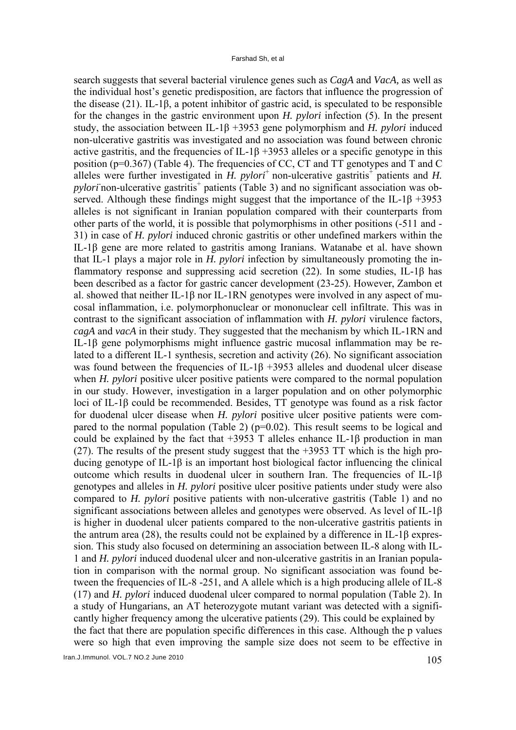search suggests that several bacterial virulence genes such as *CagA* and *VacA,* as well as the individual host's genetic predisposition, are factors that influence the progression of the disease (21). IL-1β, a potent inhibitor of gastric acid, is speculated to be responsible for the changes in the gastric environment upon *H. pylori* infection (5). In the present study, the association between IL-1β +3953 gene polymorphism and *H. pylori* induced non-ulcerative gastritis was investigated and no association was found between chronic active gastritis, and the frequencies of IL-1 $\beta$  +3953 alleles or a specific genotype in this position (p=0.367) (Table 4). The frequencies of CC, CT and TT genotypes and T and C alleles were further investigated in  $\hat{H}$ . *pylori*<sup>+</sup> non-ulcerative gastritis<sup> $\hat{+}$ </sup> patients and  $H$ . *pylori* non-ulcerative gastritis<sup>+</sup> patients (Table 3) and no significant association was observed. Although these findings might suggest that the importance of the IL-1β +3953 alleles is not significant in Iranian population compared with their counterparts from other parts of the world, it is possible that polymorphisms in other positions (-511 and - 31) in case of *H. pylori* induced chronic gastritis or other undefined markers within the IL-1β gene are more related to gastritis among Iranians. Watanabe et al. have shown that IL-1 plays a major role in *H. pylori* infection by simultaneously promoting the inflammatory response and suppressing acid secretion (22). In some studies, IL-1β has been described as a factor for gastric cancer development (23-25). However, Zambon et al. showed that neither IL-1β nor IL-1RN genotypes were involved in any aspect of mucosal inflammation, i.e. polymorphonuclear or mononuclear cell infiltrate. This was in contrast to the significant association of inflammation with *H. pylori* virulence factors, *cagA* and *vacA* in their study. They suggested that the mechanism by which IL-1RN and IL-1β gene polymorphisms might influence gastric mucosal inflammation may be related to a different IL-1 synthesis, secretion and activity (26). No significant association was found between the frequencies of IL-1β +3953 alleles and duodenal ulcer disease when *H. pylori* positive ulcer positive patients were compared to the normal population in our study. However, investigation in a larger population and on other polymorphic loci of IL-1β could be recommended. Besides, TT genotype was found as a risk factor for duodenal ulcer disease when *H. pylori* positive ulcer positive patients were compared to the normal population (Table 2) ( $p=0.02$ ). This result seems to be logical and could be explained by the fact that  $+3953$  T alleles enhance IL-1 $\beta$  production in man (27). The results of the present study suggest that the +3953 TT which is the high producing genotype of IL-1β is an important host biological factor influencing the clinical outcome which results in duodenal ulcer in southern Iran. The frequencies of IL-1β genotypes and alleles in *H. pylori* positive ulcer positive patients under study were also compared to *H. pylori* positive patients with non-ulcerative gastritis (Table 1) and no significant associations between alleles and genotypes were observed. As level of IL-1β is higher in duodenal ulcer patients compared to the non-ulcerative gastritis patients in the antrum area (28), the results could not be explained by a difference in IL-1β expression. This study also focused on determining an association between IL-8 along with IL-1 and *H. pylori* induced duodenal ulcer and non-ulcerative gastritis in an Iranian population in comparison with the normal group. No significant association was found between the frequencies of IL-8 -251, and A allele which is a high producing allele of IL-8 (17) and *H. pylori* induced duodenal ulcer compared to normal population (Table 2). In a study of Hungarians, an AT heterozygote mutant variant was detected with a significantly higher frequency among the ulcerative patients (29). This could be explained by the fact that there are population specific differences in this case. Although the p values were so high that even improving the sample size does not seem to be effective in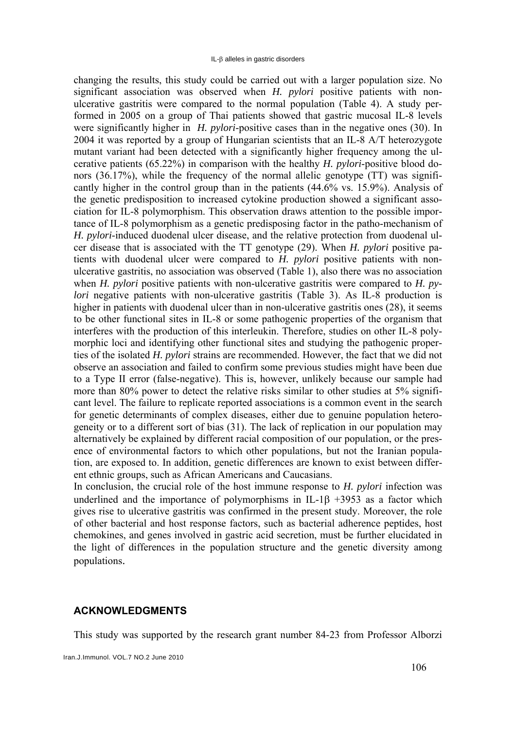changing the results, this study could be carried out with a larger population size. No significant association was observed when *H. pylori* positive patients with nonulcerative gastritis were compared to the normal population (Table 4). A study performed in 2005 on a group of Thai patients showed that gastric mucosal IL-8 levels were significantly higher in *H. pylori*-positive cases than in the negative ones (30). In 2004 it was reported by a group of Hungarian scientists that an IL-8 A/T heterozygote mutant variant had been detected with a significantly higher frequency among the ulcerative patients (65.22%) in comparison with the healthy *H. pylori*-positive blood donors (36.17%), while the frequency of the normal allelic genotype (TT) was significantly higher in the control group than in the patients (44.6% vs. 15.9%). Analysis of the genetic predisposition to increased cytokine production showed a significant association for IL-8 polymorphism. This observation draws attention to the possible importance of IL-8 polymorphism as a genetic predisposing factor in the patho-mechanism of *H. pylori*-induced duodenal ulcer disease, and the relative protection from duodenal ulcer disease that is associated with the TT genotype (29). When *H. pylori* positive patients with duodenal ulcer were compared to *H. pylori* positive patients with nonulcerative gastritis, no association was observed (Table 1), also there was no association when *H. pylori* positive patients with non-ulcerative gastritis were compared to *H. pylori* negative patients with non-ulcerative gastritis (Table 3). As IL-8 production is higher in patients with duodenal ulcer than in non-ulcerative gastritis ones (28), it seems to be other functional sites in IL-8 or some pathogenic properties of the organism that interferes with the production of this interleukin. Therefore, studies on other IL-8 polymorphic loci and identifying other functional sites and studying the pathogenic properties of the isolated *H. pylori* strains are recommended. However, the fact that we did not observe an association and failed to confirm some previous studies might have been due to a Type II error (false-negative). This is, however, unlikely because our sample had more than 80% power to detect the relative risks similar to other studies at 5% significant level. The failure to replicate reported associations is a common event in the search for genetic determinants of complex diseases, either due to genuine population heterogeneity or to a different sort of bias (31). The lack of replication in our population may alternatively be explained by different racial composition of our population, or the presence of environmental factors to which other populations, but not the Iranian population, are exposed to. In addition, genetic differences are known to exist between different ethnic groups, such as African Americans and Caucasians.

In conclusion, the crucial role of the host immune response to *H. pylori* infection was underlined and the importance of polymorphisms in IL-1 $\beta$  +3953 as a factor which gives rise to ulcerative gastritis was confirmed in the present study. Moreover, the role of other bacterial and host response factors, such as bacterial adherence peptides, host chemokines, and genes involved in gastric acid secretion, must be further elucidated in the light of differences in the population structure and the genetic diversity among populations.

#### **ACKNOWLEDGMENTS**

This study was supported by the research grant number 84-23 from Professor Alborzi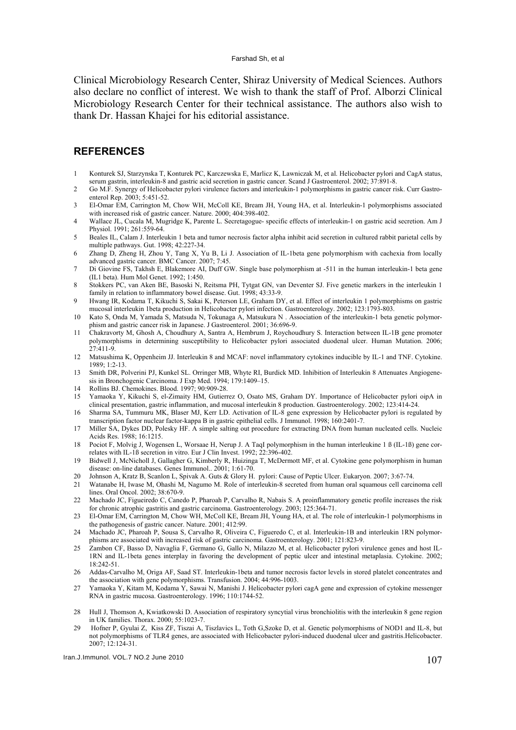Clinical Microbiology Research Center, Shiraz University of Medical Sciences. Authors also declare no conflict of interest. We wish to thank the staff of Prof. Alborzi Clinical Microbiology Research Center for their technical assistance. The authors also wish to thank Dr. Hassan Khajei for his editorial assistance.

#### **REFERENCES**

- 1 Konturek SJ, Starzynska T, Konturek PC, Karczewska E, Marlicz K, Lawniczak M, et al. Helicobacter pylori and CagA status, serum gastrin, interleukin-8 and gastric acid secretion in gastric cancer. Scand J Gastroenterol. 2002; 37:891-8.
- 2 Go M.F. Synergy of Helicobacter pylori virulence factors and interleukin-1 polymorphisms in gastric cancer risk. Curr Gastroenterol Rep. 2003; 5:451-52.
- 3 El-Omar EM, Carrington M, Chow WH, McColl KE, Bream JH, Young HA, et al. Interleukin-1 polymorphisms associated with increased risk of gastric cancer. Nature. 2000; 404:398-402.
- 4 Wallace JL, Cucala M, Mugridge K, Parente L. Secretagogue- specific effects of interleukin-1 on gastric acid secretion. Am J Physiol. 1991; 261:559-64.
- 5 Beales IL, Calam J. Interleukin 1 beta and tumor necrosis factor alpha inhibit acid secretion in cultured rabbit parietal cells by multiple pathways. Gut. 1998; 42:227-34.
- 6 Zhang D, Zheng H, Zhou Y, Tang X, Yu B, Li J. Association of IL-1beta gene polymorphism with cachexia from locally advanced gastric cancer. BMC Cancer. 2007; 7:45.
- 7 Di Giovine FS, Takhsh E, Blakemore AI, Duff GW. Single base polymorphism at -511 in the human interleukin-1 beta gene (IL1 beta). Hum Mol Genet. 1992; 1:450.
- 8 Stokkers PC, van Aken BE, Basoski N, Reitsma PH, Tytgat GN, van Deventer SJ. Five genetic markers in the interleukin 1 family in relation to inflammatory bowel disease. Gut. 1998; 43:33-9.
- 9 Hwang IR, Kodama T, Kikuchi S, Sakai K, Peterson LE, Graham DY, et al. Effect of interleukin 1 polymorphisms on gastric mucosal interleukin 1beta production in Helicobacter pylori infection. Gastroenterology. 2002; 123:1793-803.
- 10 Kato S, Onda M, Yamada S, Matsuda N, Tokunaga A, Matsukura N . Association of the interleukin-1 beta genetic polymorphism and gastric cancer risk in Japanese. J Gastroenterol. 2001; 36:696-9.
- 11 Chakravorty M, Ghosh A, Choudhury A, Santra A, Hembrum J, Roychoudhury S. Interaction between IL-1B gene promoter polymorphisms in determining susceptibility to Helicobacter pylori associated duodenal ulcer. Human Mutation. 2006;  $27:411-9$
- 12 Matsushima K, Oppenheim JJ. Interleukin 8 and MCAF: novel inflammatory cytokines inducible by IL-1 and TNF. Cytokine. 1989; 1:2-13.
- 13 Smith DR, Polverini PJ, Kunkel SL. Orringer MB, Whyte RI, Burdick MD. Inhibition of Interleukin 8 Attenuates Angiogenesis in Bronchogenic Carcinoma. J Exp Med. 1994; 179:1409–15.
- 14 Rollins BJ. Chemokines. Blood. 1997; 90:909-28.
- 15 Yamaoka Y, Kikuchi S, el-Zimaity HM, Gutierrez O, Osato MS, Graham DY. Importance of Helicobacter pylori oipA in clinical presentation, gastric inflammation, and mucosal interleukin 8 production. Gastroenterology. 2002; 123:414-24.
- 16 Sharma SA, Tummuru MK, Blaser MJ, Kerr LD. Activation of IL-8 gene expression by Helicobacter pylori is regulated by transcription factor nuclear factor-kappa B in gastric epithelial cells. J Immunol. 1998; 160:2401-7.
- 17 Miller SA, Dykes DD, Polesky HF. A simple salting out procedure for extracting DNA from human nucleated cells. Nucleic Acids Res. 1988; 16:1215.
- 18 Pociot F, Molvig J, Wogensen L, Worsaae H, Nerup J. A TaqΙ polymorphism in the human interleukine 1 ß (IL-1ß) gene correlates with IL-1ß secretion in vitro. Eur J Clin Invest. 1992; 22:396-402.
- 19 Bidwell J, McNicholl J, Gallagher G, Kimberly R, Huizinga T, McDermott MF, et al. Cytokine gene polymorphism in human disease: on-line databases. Genes Immunol.. 2001; 1:61-70.
- 20 Johnson A, Kratz B, Scanlon L, Spivak A. Guts & Glory H. pylori: Cause of Peptic Ulcer. Eukaryon. 2007; 3:67-74.
- 21 Watanabe H, Iwase M, Ohashi M, Nagumo M. Role of interleukin-8 secreted from human oral squamous cell carcinoma cell lines. Oral Oncol. 2002; 38:670-9.
- 22 Machado JC, Figueiredo C, Canedo P, Pharoah P, Carvalho R, Nabais S. A proinflammatory genetic profile increases the risk for chronic atrophic gastritis and gastric carcinoma. Gastroenterology. 2003; 125:364-71.
- 23 El-Omar EM, Carrington M, Chow WH, McColl KE, Bream JH, Young HA, et al. The role of interleukin-1 polymorphisms in the pathogenesis of gastric cancer. Nature. 2001; 412:99.
- 24 Machado JC, Pharoah P, Sousa S, Carvalho R, Oliveira C, Figueredo C, et al. Interleukin-1B and interleukin 1RN polymorphisms are associated with increased risk of gastric carcinoma. Gastroenterology. 2001; 121:823-9.
- 25 Zambon CF, Basso D, Navaglia F, Germano G, Gallo N, Milazzo M, et al. Helicobacter pylori virulence genes and host IL-1RN and IL-1beta genes interplay in favoring the development of peptic ulcer and intestinal metaplasia. Cytokine. 2002; 18:242-51.
- 26 Addas-Carvalho M, Origa AF, Saad ST. Interleukin-1beta and tumor necrosis factor levels in stored platelet concentrates and the association with gene polymorphisms. Transfusion. 2004; 44:996-1003.
- 27 Yamaoka Y, Kitam M, Kodama Y, Sawai N, Manishi J. Helicobacter pylori cagA gene and expression of cytokine messenger RNA in gastric mucosa. Gastroenterology. 1996; 110:1744-52.
- 28 Hull J, Thomson A, Kwiatkowski D. Association of respiratory syncytial virus bronchiolitis with the interleukin 8 gene region in UK families. Thorax. 2000; 55:1023-7.
- 29 Hofner P, Gyulai Z, Kiss ZF, Tiszai A, Tiszlavics L, Toth G,Szoke D, et al. Genetic polymorphisms of NOD1 and IL-8, but not polymorphisms of TLR4 genes, are associated with Helicobacter pylori-induced duodenal ulcer and gastritis.Helicobacter. 2007; 12:124-31.

 $I$ mmunol. VOL.7 NO.2 June 2010 107